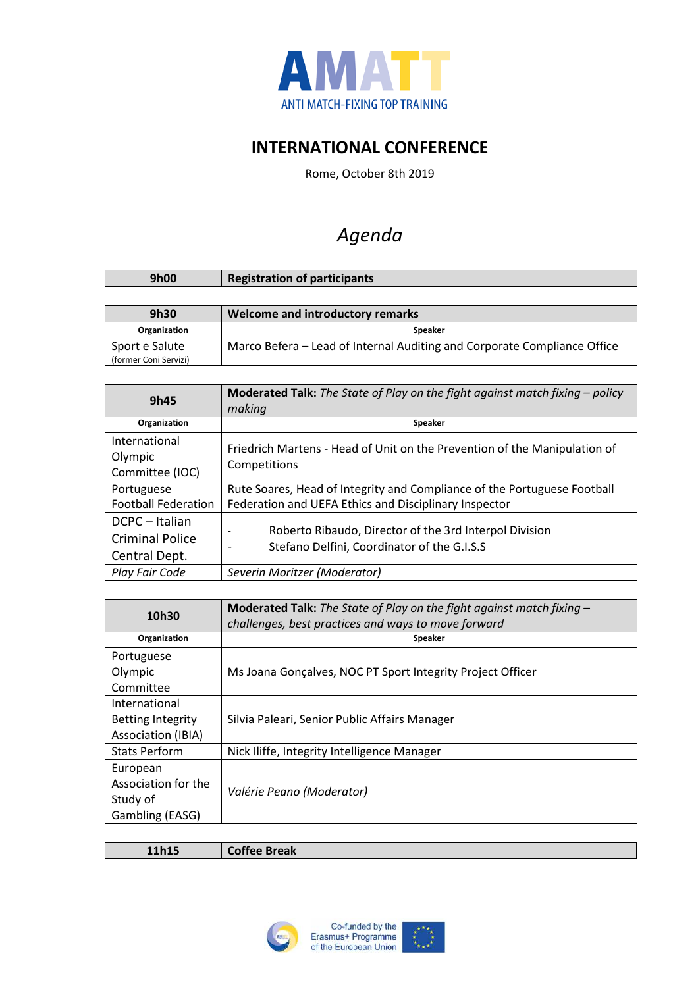

## **INTERNATIONAL CONFERENCE**

Rome, October 8th 2019

## *Agenda*

| 9h00                  | <b>Registration of participants</b>                                      |
|-----------------------|--------------------------------------------------------------------------|
|                       |                                                                          |
| 9h30                  | <b>Welcome and introductory remarks</b>                                  |
| Organization          | Speaker                                                                  |
| Sport e Salute        | Marco Befera - Lead of Internal Auditing and Corporate Compliance Office |
| (former Coni Servizi) |                                                                          |

| 9h45                                                      | Moderated Talk: The State of Play on the fight against match fixing - policy<br>making                                            |
|-----------------------------------------------------------|-----------------------------------------------------------------------------------------------------------------------------------|
| Organization                                              | Speaker                                                                                                                           |
| International<br>Olympic<br>Committee (IOC)               | Friedrich Martens - Head of Unit on the Prevention of the Manipulation of<br>Competitions                                         |
| Portuguese<br><b>Football Federation</b>                  | Rute Soares, Head of Integrity and Compliance of the Portuguese Football<br>Federation and UEFA Ethics and Disciplinary Inspector |
| DCPC - Italian<br><b>Criminal Police</b><br>Central Dept. | Roberto Ribaudo, Director of the 3rd Interpol Division<br>Stefano Delfini, Coordinator of the G.I.S.S                             |
| Play Fair Code                                            | Severin Moritzer (Moderator)                                                                                                      |

| 10h30                     | <b>Moderated Talk:</b> The State of Play on the fight against match fixing $-$<br>challenges, best practices and ways to move forward |
|---------------------------|---------------------------------------------------------------------------------------------------------------------------------------|
| Organization              | Speaker                                                                                                                               |
| Portuguese                |                                                                                                                                       |
| Olympic                   | Ms Joana Gonçalves, NOC PT Sport Integrity Project Officer                                                                            |
| Committee                 |                                                                                                                                       |
| International             |                                                                                                                                       |
| <b>Betting Integrity</b>  | Silvia Paleari, Senior Public Affairs Manager                                                                                         |
| <b>Association (IBIA)</b> |                                                                                                                                       |
| <b>Stats Perform</b>      | Nick Iliffe, Integrity Intelligence Manager                                                                                           |
| European                  |                                                                                                                                       |
| Association for the       |                                                                                                                                       |
| Study of                  | Valérie Peano (Moderator)                                                                                                             |
| Gambling (EASG)           |                                                                                                                                       |

**11h15 Coffee Break**